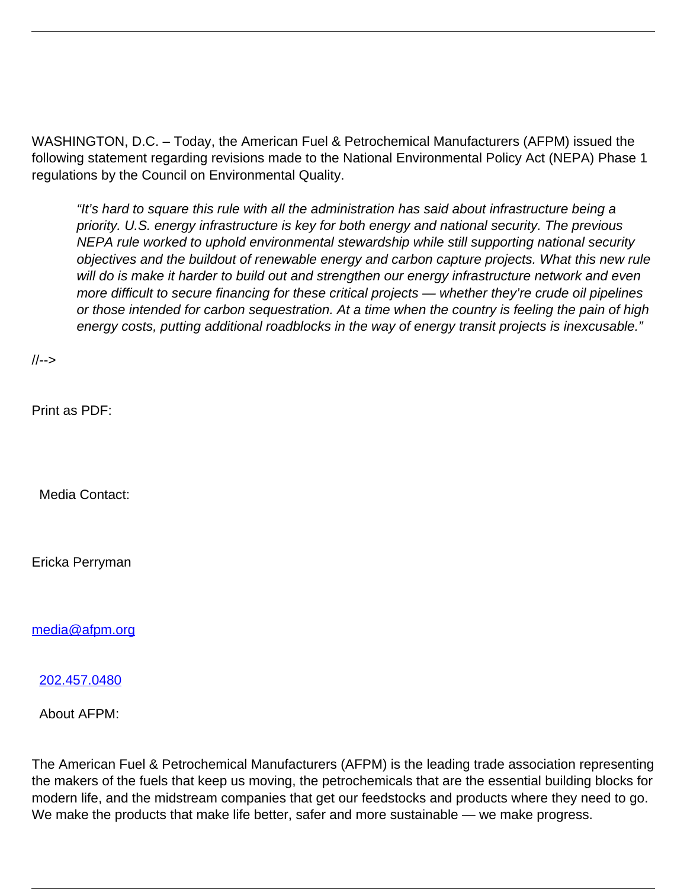WASHINGTON, D.C. – Today, the American Fuel & Petrochemical Manufacturers (AFPM) issued the following statement regarding revisions made to the National Environmental Policy Act (NEPA) Phase 1 regulations by the Council on Environmental Quality.

"It's hard to square this rule with all the administration has said about infrastructure being a priority. U.S. energy infrastructure is key for both energy and national security. The previous NEPA rule worked to uphold environmental stewardship while still supporting national security objectives and the buildout of renewable energy and carbon capture projects. What this new rule will do is make it harder to build out and strengthen our energy infrastructure network and even more difficult to secure financing for these critical projects — whether they're crude oil pipelines or those intended for carbon sequestration. At a time when the country is feeling the pain of high energy costs, putting additional roadblocks in the way of energy transit projects is inexcusable."

//-->

Print as PDF:

Media Contact:

Ericka Perryman

[media@afpm.org](mailto:media@afpm.org)

[202.457.0480](tel:202.457.0480)

About AFPM:

The American Fuel & Petrochemical Manufacturers (AFPM) is the leading trade association representing the makers of the fuels that keep us moving, the petrochemicals that are the essential building blocks for modern life, and the midstream companies that get our feedstocks and products where they need to go. We make the products that make life better, safer and more sustainable — we make progress.